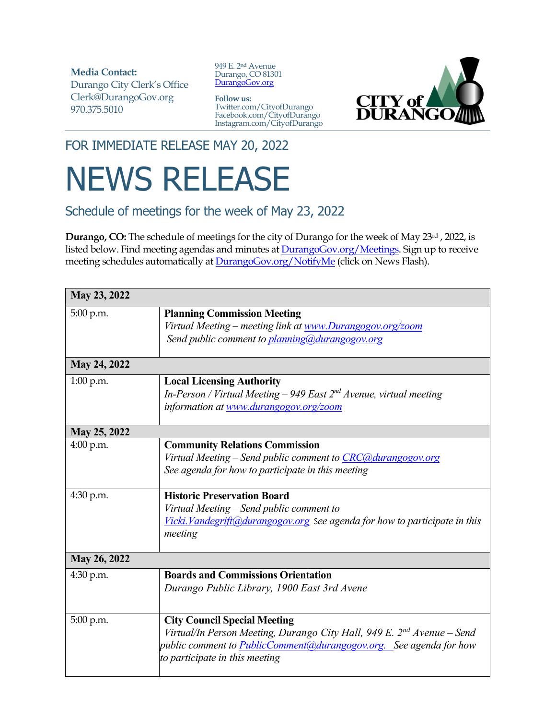**Media Contact:**  Durango City Clerk's Office Clerk@DurangoGov.org 970.375.5010

949 E. 2nd Avenue Durango, CO 81301 [DurangoGov.org](https://www.durangogov.org/)

**Follow us:** Twitter.com/CityofDurango Facebook.com/CityofDurango Instagram.com/CityofDurango



FOR IMMEDIATE RELEASE MAY 20, 2022

## NEWS RELEASE

Schedule of meetings for the week of May 23, 2022

**Durango, CO:** The schedule of meetings for the city of Durango for the week of May 23rd , 2022, is listed below. Find meeting agendas and minutes at **DurangoGov.org/Meetings**. Sign up to receive meeting schedules automatically a[t DurangoGov.org/NotifyMe](https://www.durangogov.org/notifyme) (click on News Flash).

| May 23, 2022 |                                                                                                                                                                                                                                   |  |
|--------------|-----------------------------------------------------------------------------------------------------------------------------------------------------------------------------------------------------------------------------------|--|
| 5:00 p.m.    | <b>Planning Commission Meeting</b><br>Virtual Meeting - meeting link at www.Durangogov.org/zoom<br>Send public comment to planning@durangogov.org                                                                                 |  |
| May 24, 2022 |                                                                                                                                                                                                                                   |  |
| 1:00 p.m.    | <b>Local Licensing Authority</b><br>In-Person / Virtual Meeting $-$ 949 East $2nd$ Avenue, virtual meeting<br>information at www.durangogov.org/zoom                                                                              |  |
| May 25, 2022 |                                                                                                                                                                                                                                   |  |
| $4:00$ p.m.  | <b>Community Relations Commission</b><br>Virtual Meeting – Send public comment to CRC@durangogov.org<br>See agenda for how to participate in this meeting                                                                         |  |
| 4:30 p.m.    | <b>Historic Preservation Board</b><br>Virtual Meeting - Send public comment to<br>Vicki. Vandegrift@durangogov.org see agenda for how to participate in this<br>meeting                                                           |  |
| May 26, 2022 |                                                                                                                                                                                                                                   |  |
| 4:30 p.m.    | <b>Boards and Commissions Orientation</b><br>Durango Public Library, 1900 East 3rd Avene                                                                                                                                          |  |
| 5:00 p.m.    | <b>City Council Special Meeting</b><br>Virtual/In Person Meeting, Durango City Hall, 949 E. 2 <sup>nd</sup> Avenue – Send<br>public comment to PublicComment@durangogov.org. See agenda for how<br>to participate in this meeting |  |